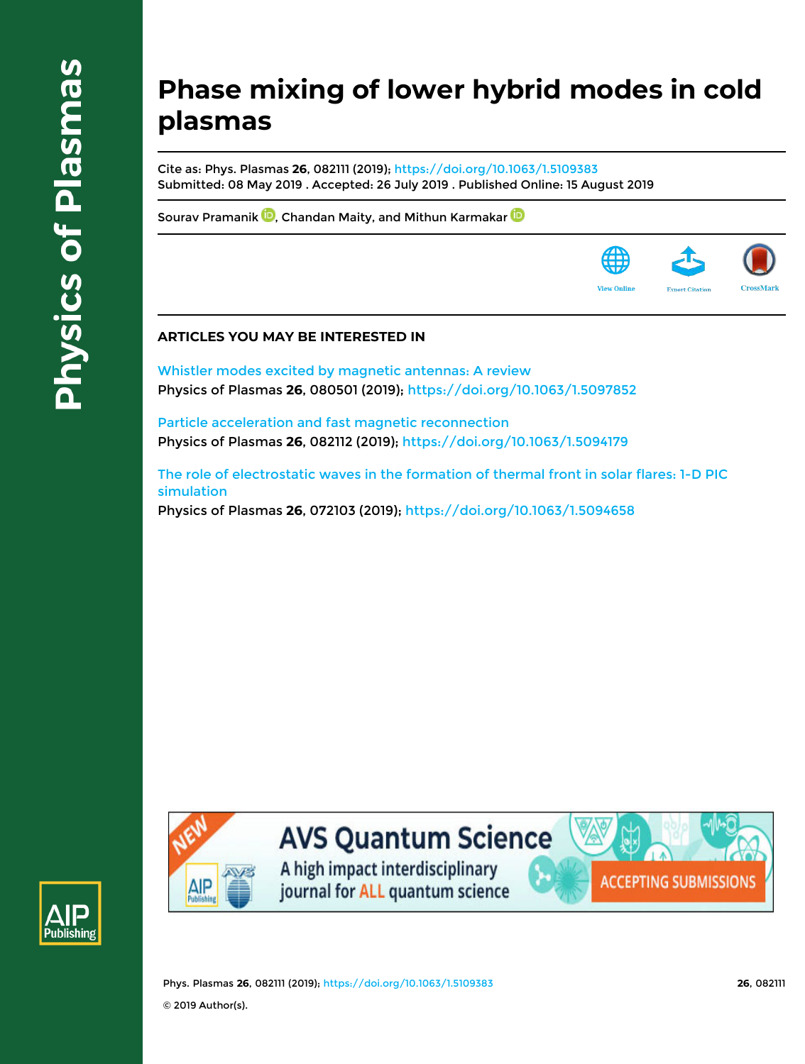## **Phase mixing of lower hybrid modes in cold plasmas**

Cite as: Phys. Plasmas **26**, 082111 (2019); https://doi.org/10.1063/1.5109383 Submitted: 08 May 2019 . Accepted: 26 July 2019 . Published Online: 15 August 2019

Sourav Pramanik **D**, Chandan Maity, and Mithun Karmakar D

### **ARTICLES YOU MAY BE INTERESTED IN**

Whistler modes excited by magnetic antennas: A review Physics of Plasmas **26**, 080501 (2019); https://doi.org/10.1063/1.5097852

Particle acceleration and fast magnetic reconnection Physics of Plasmas **26**, 082112 (2019); https://doi.org/10.1063/1.5094179

The role of electrostatic waves in the formation of thermal front in solar flares: 1-D PIC simulation Physics of Plasmas **26**, 072103 (2019); https://doi.org/10.1063/1.5094658





# **AVS Quantum Science**

A high impact interdisciplinary journal for ALL quantum science



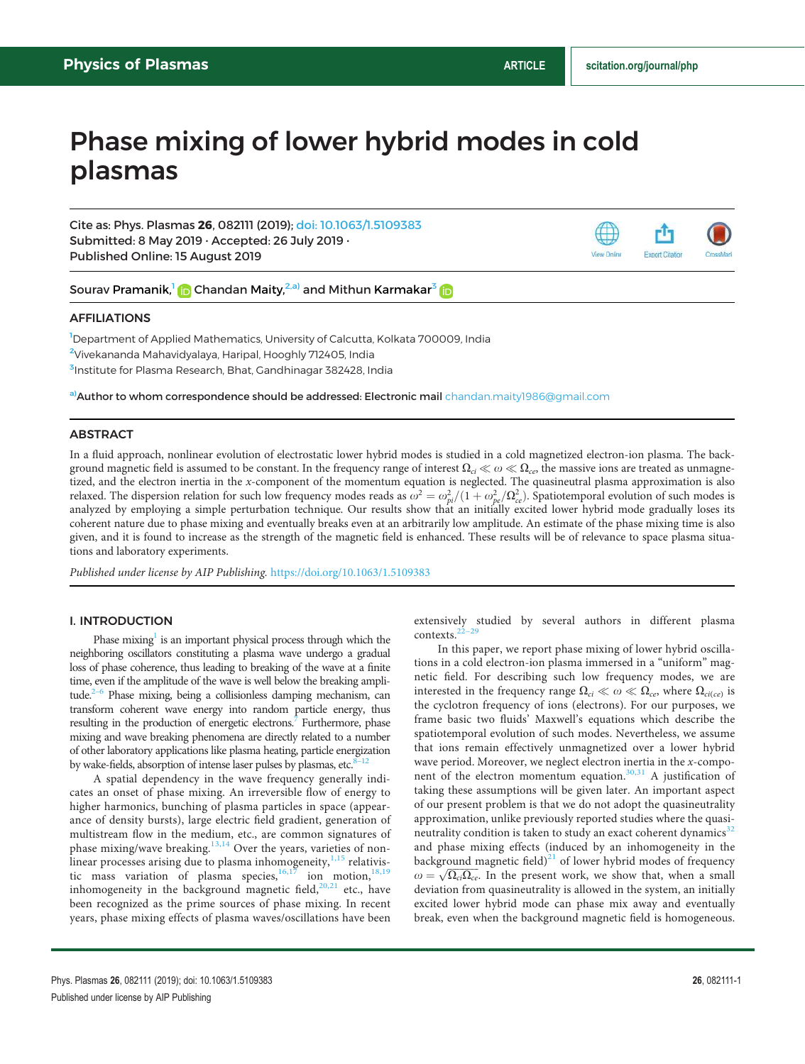**Export Citatio** 

**View Online** 

### Phase mixing of lower hybrid modes in cold plasmas

Cite as: Phys. Plasmas 26, 082111 (2019); doi: 10.1063/1.5109383 Submitted: 8 May 2019 · Accepted: 26 July 2019 · Published Online: 15 August 2019



#### AFFILIATIONS

<sup>1</sup>Department of Applied Mathematics, University of Calcutta, Kolkata 700009, India <sup>2</sup>Vivekananda Mahavidyalaya, Haripal, Hooghly 712405, India <sup>3</sup>Institute for Plasma Research, Bhat, Gandhinagar 382428, India

a)Author to whom correspondence should be addressed: Electronic mail chandan.maity1986@gmail.com

#### **ABSTRACT**

In a fluid approach, nonlinear evolution of electrostatic lower hybrid modes is studied in a cold magnetized electron-ion plasma. The background magnetic field is assumed to be constant. In the frequency range of interest  $\Omega_{ci} \ll \omega \ll \Omega_{ce}$ , the massive ions are treated as unmagnetized, and the electron inertia in the x-component of the momentum equation is neglected. The quasineutral plasma approximation is also relaxed. The dispersion relation for such low frequency modes reads as  $\omega^2 = \omega_{pi}^2/(1 + \omega_{pe}^2/\Omega_{ce}^2)$ . Spatiotemporal evolution of such modes is analyzed by employing a simple perturbation technique. Our results show that an initially excited lower hybrid mode gradually loses its coherent nature due to phase mixing and eventually breaks even at an arbitrarily low amplitude. An estimate of the phase mixing time is also given, and it is found to increase as the strength of the magnetic field is enhanced. These results will be of relevance to space plasma situations and laboratory experiments.

Published under license by AIP Publishing. https://doi.org/10.1063/1.5109383

#### I. INTRODUCTION

Phase mixing<sup>1</sup> is an important physical process through which the neighboring oscillators constituting a plasma wave undergo a gradual loss of phase coherence, thus leading to breaking of the wave at a finite time, even if the amplitude of the wave is well below the breaking amplitude. $2-6$  Phase mixing, being a collisionless damping mechanism, can transform coherent wave energy into random particle energy, thus resulting in the production of energetic electrons. $\bar{7}$  Furthermore, phase mixing and wave breaking phenomena are directly related to a number of other laboratory applications like plasma heating, particle energization by wake-fields, absorption of intense laser pulses by plasmas, etc.<sup>8–1</sup>

A spatial dependency in the wave frequency generally indicates an onset of phase mixing. An irreversible flow of energy to higher harmonics, bunching of plasma particles in space (appearance of density bursts), large electric field gradient, generation of multistream flow in the medium, etc., are common signatures of phase mixing/wave breaking. $13,14$  Over the years, varieties of nonlinear processes arising due to plasma inhomogeneity, <sup>1,15</sup> relativistic mass variation of plasma species,  $16,17$  ion motion,  $18,19$ inhomogeneity in the background magnetic field, $20,21$  etc., have been recognized as the prime sources of phase mixing. In recent years, phase mixing effects of plasma waves/oscillations have been extensively studied by several authors in different plasma contexts.<sup>2</sup>

In this paper, we report phase mixing of lower hybrid oscillations in a cold electron-ion plasma immersed in a "uniform" magnetic field. For describing such low frequency modes, we are interested in the frequency range  $\Omega_{ci} \ll \omega \ll \Omega_{ce}$ , where  $\Omega_{ci(ce)}$  is the cyclotron frequency of ions (electrons). For our purposes, we frame basic two fluids' Maxwell's equations which describe the spatiotemporal evolution of such modes. Nevertheless, we assume that ions remain effectively unmagnetized over a lower hybrid wave period. Moreover, we neglect electron inertia in the  $x$ -component of the electron momentum equation.<sup>30,31</sup> A justification of taking these assumptions will be given later. An important aspect of our present problem is that we do not adopt the quasineutrality approximation, unlike previously reported studies where the quasineutrality condition is taken to study an exact coherent dynamics $32$ and phase mixing effects (induced by an inhomogeneity in the background magnetic field) $^{21}$  of lower hybrid modes of frequency  $\omega = \sqrt{\Omega_{ci}\Omega_{ce}}$ . In the present work, we show that, when a small deviation from quasineutrality is allowed in the system, an initially excited lower hybrid mode can phase mix away and eventually break, even when the background magnetic field is homogeneous.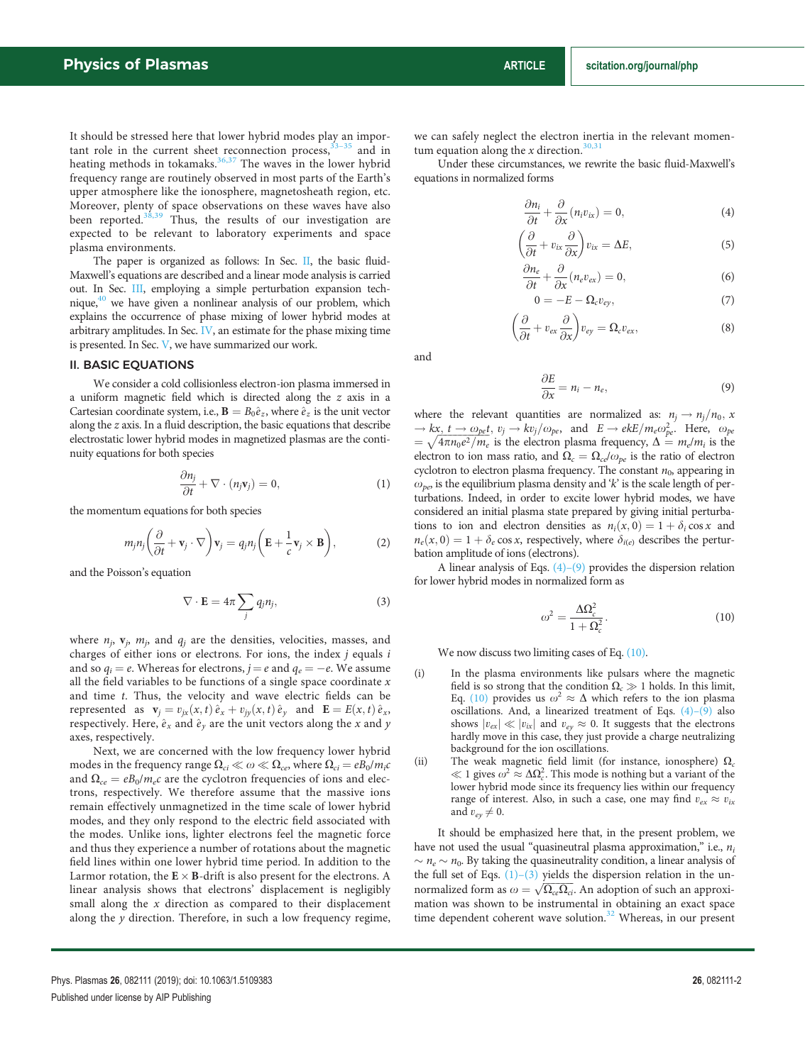It should be stressed here that lower hybrid modes play an important role in the current sheet reconnection process,  $33-35$  and in heating methods in tokamaks.<sup>36,37</sup> The waves in the lower hybrid frequency range are routinely observed in most parts of the Earth's upper atmosphere like the ionosphere, magnetosheath region, etc. Moreover, plenty of space observations on these waves have also been reported.<sup>38,39</sup> Thus, the results of our investigation are expected to be relevant to laboratory experiments and space plasma environments.

The paper is organized as follows: In Sec. II, the basic fluid-Maxwell's equations are described and a linear mode analysis is carried out. In Sec. III, employing a simple perturbation expansion technique,<sup>40</sup> we have given a nonlinear analysis of our problem, which explains the occurrence of phase mixing of lower hybrid modes at arbitrary amplitudes. In Sec. IV, an estimate for the phase mixing time is presented. In Sec. V, we have summarized our work.

#### II. BASIC EQUATIONS

We consider a cold collisionless electron-ion plasma immersed in a uniform magnetic field which is directed along the z axis in a Cartesian coordinate system, i.e.,  $\mathbf{B} = B_0 \hat{e}_z$ , where  $\hat{e}_z$  is the unit vector along the z axis. In a fluid description, the basic equations that describe electrostatic lower hybrid modes in magnetized plasmas are the continuity equations for both species

$$
\frac{\partial n_j}{\partial t} + \nabla \cdot (n_j \mathbf{v}_j) = 0, \tag{1}
$$

the momentum equations for both species

$$
m_j n_j \left( \frac{\partial}{\partial t} + \mathbf{v}_j \cdot \nabla \right) \mathbf{v}_j = q_j n_j \left( \mathbf{E} + \frac{1}{c} \mathbf{v}_j \times \mathbf{B} \right), \tag{2}
$$

and the Poisson's equation

$$
\nabla \cdot \mathbf{E} = 4\pi \sum_{j} q_{j} n_{j}, \qquad (3)
$$

where  $n_j$ ,  $\mathbf{v}_j$ ,  $m_j$ , and  $q_j$  are the densities, velocities, masses, and charges of either ions or electrons. For ions, the index  $j$  equals  $i$ and so  $q_i = e$ . Whereas for electrons,  $j = e$  and  $q_e = -e$ . We assume all the field variables to be functions of a single space coordinate  $x$ and time t. Thus, the velocity and wave electric fields can be represented as  $\mathbf{v}_j = v_{jx}(x, t) \hat{e}_x + v_{jy}(x, t) \hat{e}_y$  and  $\mathbf{E} = E(x, t) \hat{e}_x$ , respectively. Here,  $\hat{e}_x$  and  $\hat{e}_y$  are the unit vectors along the x and y axes, respectively.

Next, we are concerned with the low frequency lower hybrid modes in the frequency range  $\Omega_{ci} \ll \omega \ll \Omega_{ce}$ , where  $\Omega_{ci} = eB_0/m_ic$ and  $\Omega_{ce} = eB_0/m_ec$  are the cyclotron frequencies of ions and electrons, respectively. We therefore assume that the massive ions remain effectively unmagnetized in the time scale of lower hybrid modes, and they only respond to the electric field associated with the modes. Unlike ions, lighter electrons feel the magnetic force and thus they experience a number of rotations about the magnetic field lines within one lower hybrid time period. In addition to the Larmor rotation, the  $E \times B$ -drift is also present for the electrons. A linear analysis shows that electrons' displacement is negligibly small along the  $x$  direction as compared to their displacement along the  $y$  direction. Therefore, in such a low frequency regime, we can safely neglect the electron inertia in the relevant momentum equation along the x direction.<sup>30,31</sup>

Under these circumstances, we rewrite the basic fluid-Maxwell's equations in normalized forms

$$
\frac{\partial n_i}{\partial t} + \frac{\partial}{\partial x}(n_i v_{ix}) = 0, \tag{4}
$$

$$
\left(\frac{\partial}{\partial t} + v_{ix}\frac{\partial}{\partial x}\right)v_{ix} = \Delta E, \tag{5}
$$

$$
\frac{\partial n_e}{\partial t} + \frac{\partial}{\partial x} (n_e v_{ex}) = 0, \qquad (6)
$$

$$
0 = -E - \Omega_c v_{ey},\tag{7}
$$

$$
\left(\frac{\partial}{\partial t} + v_{ex} \frac{\partial}{\partial x}\right) v_{ey} = \Omega_c v_{ex},\tag{8}
$$

and

$$
\frac{\partial E}{\partial x} = n_i - n_e, \tag{9}
$$

where the relevant quantities are normalized as:  $n_j \rightarrow n_j/n_0$ , x  $\rightarrow kx, t \rightarrow \omega_{pe}t, v_j \rightarrow kv_j/\omega_{pe}$ , and  $E \rightarrow e kE/m_e \omega_{pe}^2$ . Here,  $\omega_{pe}$  $=\sqrt{4\pi n_0e^2/m_e}$  is the electron plasma frequency,  $\Delta = m_e/m_i$  is the electron to ion mass ratio, and  $\Omega_c = \Omega_{ce}/\omega_{pe}$  is the ratio of electron cyclotron to electron plasma frequency. The constant  $n_0$ , appearing in  $\omega_{pe}$ , is the equilibrium plasma density and 'k' is the scale length of perturbations. Indeed, in order to excite lower hybrid modes, we have considered an initial plasma state prepared by giving initial perturbations to ion and electron densities as  $n_i(x, 0) = 1 + \delta_i \cos x$  and  $n_e(x, 0) = 1 + \delta_e \cos x$ , respectively, where  $\delta_{i(e)}$  describes the perturbation amplitude of ions (electrons).

A linear analysis of Eqs. (4)–(9) provides the dispersion relation for lower hybrid modes in normalized form as

$$
\omega^2 = \frac{\Delta \Omega_c^2}{1 + \Omega_c^2}.
$$
\n(10)

We now discuss two limiting cases of Eq.  $(10)$ .

- (i) In the plasma environments like pulsars where the magnetic field is so strong that the condition  $\Omega_c \gg 1$  holds. In this limit, Eq. (10) provides us  $\omega^2 \approx \Delta$  which refers to the ion plasma oscillations. And, a linearized treatment of Eqs. (4)–(9) also shows  $|v_{ex}| \ll |v_{ix}|$  and  $v_{ey} \approx 0$ . It suggests that the electrons hardly move in this case, they just provide a charge neutralizing background for the ion oscillations.
- (ii) The weak magnetic field limit (for instance, ionosphere)  $\Omega_c$  $\ll 1$  gives  $\omega^2 \approx \Delta \Omega_c^2$ . This mode is nothing but a variant of the lower hybrid mode since its frequency lies within our frequency range of interest. Also, in such a case, one may find  $v_{ex} \approx v_{ix}$ and  $v_{e\nu} \neq 0$ .

It should be emphasized here that, in the present problem, we have not used the usual "quasineutral plasma approximation," i.e.,  $n_i$  $\sim n_e \sim n_0$ . By taking the quasineutrality condition, a linear analysis of the full set of Eqs.  $(1)-(3)$  yields the dispersion relation in the unnormalized form as  $\omega = \sqrt{\Omega_{ce} \Omega_{ci}}$ . An adoption of such an approximation was shown to be instrumental in obtaining an exact space time dependent coherent wave solution.<sup>32</sup> Whereas, in our present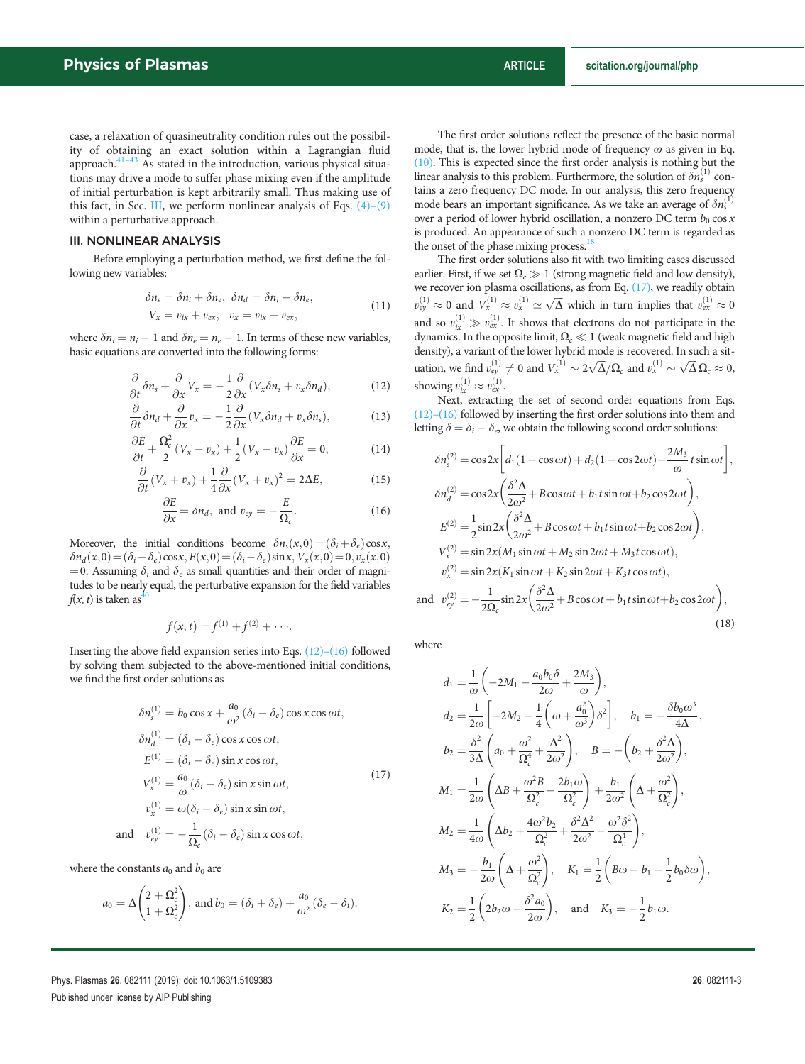case, a relaxation of quasineutrality condition rules out the possibility of obtaining an exact solution within a Lagrangian fluid approach. $41-43$  As stated in the introduction, various physical situations may drive a mode to suffer phase mixing even if the amplitude of initial perturbation is kept arbitrarily small. Thus making use of this fact, in Sec. III, we perform nonlinear analysis of Eqs.  $(4)$ – $(9)$ within a perturbative approach.

#### III. NONLINEAR ANALYSIS

Before employing a perturbation method, we first define the following new variables:

$$
\delta n_s = \delta n_i + \delta n_e, \ \delta n_d = \delta n_i - \delta n_e,
$$
  
\n
$$
V_x = v_{ix} + v_{ex}, \ v_x = v_{ix} - v_{ex},
$$
\n(11)

where  $\delta n_i = n_i - 1$  and  $\delta n_e = n_e - 1$ . In terms of these new variables, basic equations are converted into the following forms:

$$
\frac{\partial}{\partial t}\delta n_s + \frac{\partial}{\partial x}V_x = -\frac{1}{2}\frac{\partial}{\partial x}(V_x \delta n_s + v_x \delta n_d),\tag{12}
$$

$$
\frac{\partial}{\partial t}\delta n_d + \frac{\partial}{\partial x}v_x = -\frac{1}{2}\frac{\partial}{\partial x}(V_x \delta n_d + v_x \delta n_s),\tag{13}
$$

$$
\frac{\partial E}{\partial t} + \frac{\Omega_c^2}{2} (V_x - v_x) + \frac{1}{2} (V_x - v_x) \frac{\partial E}{\partial x} = 0, \tag{14}
$$

$$
\frac{\partial}{\partial t}(V_x + v_x) + \frac{1}{4}\frac{\partial}{\partial x}(V_x + v_x)^2 = 2\Delta E, \tag{15}
$$

$$
\frac{\partial E}{\partial x} = \delta n_d, \text{ and } v_{ey} = -\frac{E}{\Omega_c}.
$$
 (16)

Moreover, the initial conditions become  $\delta n_s(x,0) = (\delta_i + \delta_e) \cos x$ ,  $\delta n_d(x,0) = (\delta_i - \delta_e)\cos x, E(x,0) = (\delta_i - \delta_e)\sin x, V_x(x,0) = 0, v_x(x,0)$ = 0. Assuming  $\delta_i$  and  $\delta_e$  as small quantities and their order of magnitudes to be nearly equal, the perturbative expansion for the field variables  $f(x, t)$  is taken as<sup>40</sup>

$$
f(x,t) = f^{(1)} + f^{(2)} + \cdots
$$

Inserting the above field expansion series into Eqs. (12)–(16) followed by solving them subjected to the above-mentioned initial conditions, we find the first order solutions as

$$
\delta n_s^{(1)} = b_0 \cos x + \frac{a_0}{\omega^2} (\delta_i - \delta_e) \cos x \cos \omega t,
$$
  
\n
$$
\delta n_d^{(1)} = (\delta_i - \delta_e) \cos x \cos \omega t,
$$
  
\n
$$
E^{(1)} = (\delta_i - \delta_e) \sin x \cos \omega t,
$$
  
\n
$$
V_x^{(1)} = \frac{a_0}{\omega} (\delta_i - \delta_e) \sin x \sin \omega t,
$$
  
\n
$$
v_x^{(1)} = \omega (\delta_i - \delta_e) \sin x \sin \omega t,
$$
  
\n
$$
v_{ey}^{(1)} = -\frac{1}{\Omega_c} (\delta_i - \delta_e) \sin x \cos \omega t,
$$
\n(17)

where the constants  $a_0$  and  $b_0$  are

ar

$$
a_0 = \Delta \left( \frac{2 + \Omega_c^2}{1 + \Omega_c^2} \right), \text{ and } b_0 = (\delta_i + \delta_e) + \frac{a_0}{\omega^2} (\delta_e - \delta_i).
$$

The first order solutions reflect the presence of the basic normal mode, that is, the lower hybrid mode of frequency  $\omega$  as given in Eq. (10). This is expected since the first order analysis is nothing but the linear analysis to this problem. Furthermore, the solution of  $\delta n_s^{(1)}$  contains a zero frequency DC mode. In our analysis, this zero frequency mode bears an important significance. As we take an average of  $\delta n_s^{(1)}$ over a period of lower hybrid oscillation, a nonzero DC term  $b_0 \cos x$ is produced. An appearance of such a nonzero DC term is regarded as the onset of the phase mixing process.<sup>18</sup>

The first order solutions also fit with two limiting cases discussed earlier. First, if we set  $\Omega_c \gg 1$  (strong magnetic field and low density), we recover ion plasma oscillations, as from Eq. (17), we readily obtain  $v_{ey}^{(1)} \approx 0$  and  $V_x^{(1)} \approx v_x^{(1)} \simeq \sqrt{\Delta}$  which in turn implies that  $v_{ex}^{(1)} \approx 0$ and so  $v_{ix}^{(1)} \gg v_{ex}^{(1)}$ . It shows that electrons do not participate in the dynamics. In the opposite limit,  $\Omega_c\ll 1$  (weak magnetic field and high density), a variant of the lower hybrid mode is recovered. In such a situation, we find  $v_{ey}^{(1)} \neq 0$  and  $V_x^{(1)} \sim 2\sqrt{\Delta}/\Omega_c$  and  $v_x^{(1)} \sim \sqrt{\Delta}\Omega_c \approx 0$ , showing  $v_{ix}^{(1)} \approx v_{ex}^{(1)}$ .

Next, extracting the set of second order equations from Eqs. (12)–(16) followed by inserting the first order solutions into them and letting  $\delta = \delta_i - \delta_e$ , we obtain the following second order solutions:

$$
\delta n_s^{(2)} = \cos 2x \left[ d_1 (1 - \cos \omega t) + d_2 (1 - \cos 2\omega t) - \frac{2M_3}{\omega} t \sin \omega t \right],
$$
  
\n
$$
\delta n_d^{(2)} = \cos 2x \left( \frac{\delta^2 \Delta}{2\omega^2} + B \cos \omega t + b_1 t \sin \omega t + b_2 \cos 2\omega t \right),
$$
  
\n
$$
E^{(2)} = \frac{1}{2} \sin 2x \left( \frac{\delta^2 \Delta}{2\omega^2} + B \cos \omega t + b_1 t \sin \omega t + b_2 \cos 2\omega t \right),
$$
  
\n
$$
V_x^{(2)} = \sin 2x (M_1 \sin \omega t + M_2 \sin 2\omega t + M_3 t \cos \omega t),
$$
  
\n
$$
v_x^{(2)} = \sin 2x (K_1 \sin \omega t + K_2 \sin 2\omega t + K_3 t \cos \omega t),
$$
  
\nand 
$$
v_{ey}^{(2)} = -\frac{1}{2\Omega_c} \sin 2x \left( \frac{\delta^2 \Delta}{2\omega^2} + B \cos \omega t + b_1 t \sin \omega t + b_2 \cos 2\omega t \right),
$$
  
\n(18)

where

$$
d_1 = \frac{1}{\omega} \left( -2M_1 - \frac{a_0 b_0 \delta}{2\omega} + \frac{2M_3}{\omega} \right),
$$
  
\n
$$
d_2 = \frac{1}{2\omega} \left[ -2M_2 - \frac{1}{4} \left( \omega + \frac{a_0^2}{\omega^3} \right) \delta^2 \right], \quad b_1 = -\frac{\delta b_0 \omega^3}{4\Delta},
$$
  
\n
$$
b_2 = \frac{\delta^2}{3\Delta} \left( a_0 + \frac{\omega^2}{\Omega_c^4} + \frac{\Delta^2}{2\omega^2} \right), \quad B = -\left( b_2 + \frac{\delta^2 \Delta}{2\omega^2} \right),
$$
  
\n
$$
M_1 = \frac{1}{2\omega} \left( \Delta B + \frac{\omega^2 B}{\Omega_c^2} - \frac{2b_1 \omega}{\Omega_c^2} \right) + \frac{b_1}{2\omega^2} \left( \Delta + \frac{\omega^2}{\Omega_c^2} \right),
$$
  
\n
$$
M_2 = \frac{1}{4\omega} \left( \Delta b_2 + \frac{4\omega^2 b_2}{\Omega_c^2} + \frac{\delta^2 \Delta^2}{2\omega^2} - \frac{\omega^2 \delta^2}{\Omega_c^4} \right),
$$
  
\n
$$
M_3 = -\frac{b_1}{2\omega} \left( \Delta + \frac{\omega^2}{\Omega_c^2} \right), \quad K_1 = \frac{1}{2} \left( B\omega - b_1 - \frac{1}{2} b_0 \delta \omega \right),
$$
  
\n
$$
K_2 = \frac{1}{2} \left( 2b_2 \omega - \frac{\delta^2 a_0}{2\omega} \right), \quad \text{and} \quad K_3 = -\frac{1}{2} b_1 \omega.
$$

Phys. Plasmas 26, 082111 (2019); doi: 10.1063/1.5109383 26, 082111-3 Published under license by AIP Publishing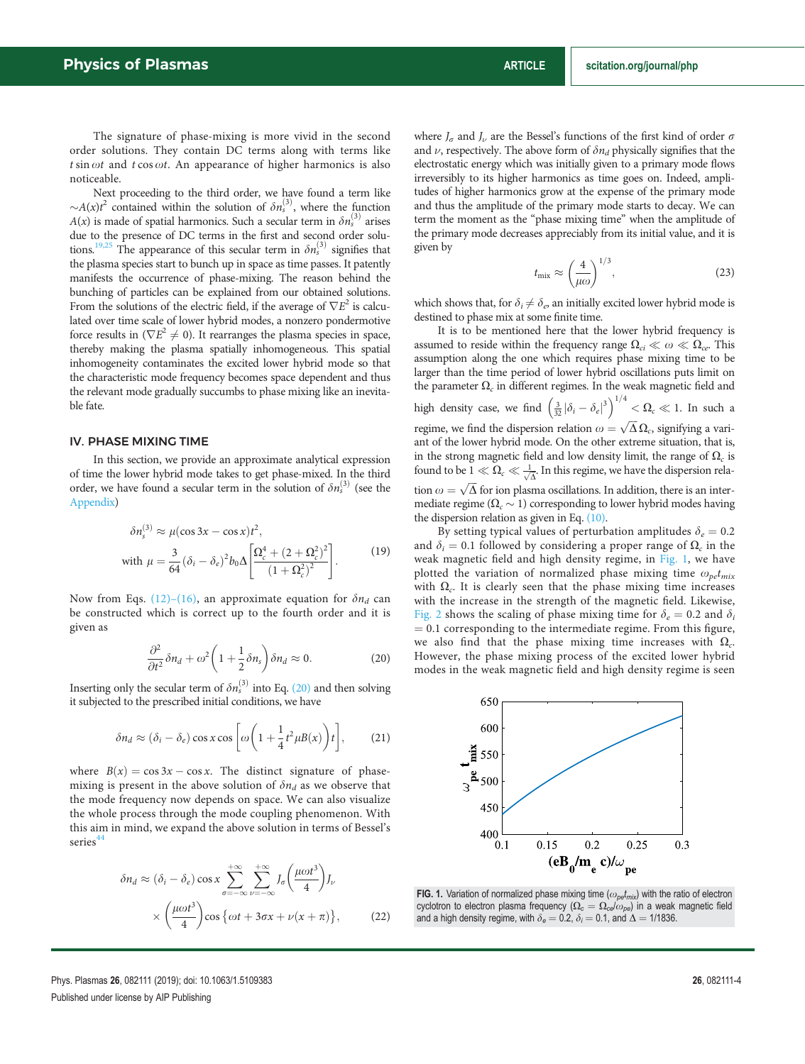The signature of phase-mixing is more vivid in the second order solutions. They contain DC terms along with terms like  $t \sin \omega t$  and  $t \cos \omega t$ . An appearance of higher harmonics is also noticeable.

Next proceeding to the third order, we have found a term like  $\sim A(x)t^2$  contained within the solution of  $\delta n_s^{(3)}$ , where the function  $A(x)$  is made of spatial harmonics. Such a secular term in  $\delta n_s^{(3)}$  arises due to the presence of DC terms in the first and second order solutions.<sup>19,25</sup> The appearance of this secular term in  $\delta n_s^{(3)}$  signifies that the plasma species start to bunch up in space as time passes. It patently manifests the occurrence of phase-mixing. The reason behind the bunching of particles can be explained from our obtained solutions. From the solutions of the electric field, if the average of  $\nabla E^2$  is calculated over time scale of lower hybrid modes, a nonzero pondermotive force results in  $(\nabla E^2 \neq 0)$ . It rearranges the plasma species in space, thereby making the plasma spatially inhomogeneous. This spatial inhomogeneity contaminates the excited lower hybrid mode so that the characteristic mode frequency becomes space dependent and thus the relevant mode gradually succumbs to phase mixing like an inevitable fate.

#### IV. PHASE MIXING TIME

In this section, we provide an approximate analytical expression of time the lower hybrid mode takes to get phase-mixed. In the third order, we have found a secular term in the solution of  $\delta n_s^{(3)}$  (see the Appendix)

$$
\delta n_s^{(3)} \approx \mu(\cos 3x - \cos x)t^2,
$$
  
with 
$$
\mu = \frac{3}{64} (\delta_i - \delta_e)^2 b_0 \Delta \left[ \frac{\Omega_c^4 + (2 + \Omega_c^2)^2}{(1 + \Omega_c^2)^2} \right].
$$
 (19)

Now from Eqs. (12)–(16), an approximate equation for  $\delta n_d$  can be constructed which is correct up to the fourth order and it is given as

$$
\frac{\partial^2}{\partial t^2} \delta n_d + \omega^2 \left( 1 + \frac{1}{2} \delta n_s \right) \delta n_d \approx 0. \tag{20}
$$

Inserting only the secular term of  $\delta n_s^{(3)}$  into Eq. (20) and then solving it subjected to the prescribed initial conditions, we have

$$
\delta n_d \approx (\delta_i - \delta_e) \cos x \cos \left[ \omega \left( 1 + \frac{1}{4} t^2 \mu B(x) \right) t \right], \tag{21}
$$

where  $B(x) = \cos 3x - \cos x$ . The distinct signature of phasemixing is present in the above solution of  $\delta n_d$  as we observe that the mode frequency now depends on space. We can also visualize the whole process through the mode coupling phenomenon. With this aim in mind, we expand the above solution in terms of Bessel's series<sup>4</sup>

$$
\delta n_d \approx (\delta_i - \delta_e) \cos x \sum_{\sigma = -\infty}^{+\infty} \sum_{\nu = -\infty}^{+\infty} J_{\sigma} \left( \frac{\mu \omega t^3}{4} \right) J_{\nu}
$$

$$
\times \left( \frac{\mu \omega t^3}{4} \right) \cos \left\{ \omega t + 3\sigma x + \nu (x + \pi) \right\}, \tag{22}
$$

where  $J_{\sigma}$  and  $J_{\nu}$  are the Bessel's functions of the first kind of order  $\sigma$ and  $\nu$ , respectively. The above form of  $\delta n_d$  physically signifies that the electrostatic energy which was initially given to a primary mode flows irreversibly to its higher harmonics as time goes on. Indeed, amplitudes of higher harmonics grow at the expense of the primary mode and thus the amplitude of the primary mode starts to decay. We can term the moment as the "phase mixing time" when the amplitude of the primary mode decreases appreciably from its initial value, and it is given by

$$
t_{\rm mix} \approx \left(\frac{4}{\mu \omega}\right)^{1/3},\tag{23}
$$

which shows that, for  $\delta_i \neq \delta_e$ , an initially excited lower hybrid mode is destined to phase mix at some finite time.

It is to be mentioned here that the lower hybrid frequency is assumed to reside within the frequency range  $\Omega_{ci} \ll \omega \ll \Omega_{ce}$ . This assumption along the one which requires phase mixing time to be larger than the time period of lower hybrid oscillations puts limit on the parameter  $\Omega_c$  in different regimes. In the weak magnetic field and high density case, we find  $\left(\frac{3}{32}|\delta_i-\delta_e|^3\right)^{1/4}<\Omega_c\ll 1.$  In such a regime, we find the dispersion relation  $\omega = \sqrt{\Delta \Omega_c}$ , signifying a variant of the lower hybrid mode. On the other extreme situation, that is, in the strong magnetic field and low density limit, the range of  $\Omega_c$  is found to be  $1 \ll \Omega_c \ll \frac{1}{\sqrt{\Delta}}$ . In this regime, we have the dispersion relation  $\omega = \sqrt{\Delta}$  for ion plasma oscillations. In addition, there is an intermediate regime ( $\Omega_c \sim 1$ ) corresponding to lower hybrid modes having the dispersion relation as given in Eq. (10).

By setting typical values of perturbation amplitudes  $\delta_e = 0.2$ and  $\delta_i = 0.1$  followed by considering a proper range of  $\Omega_c$  in the weak magnetic field and high density regime, in Fig. 1, we have plotted the variation of normalized phase mixing time  $\omega_{pe}t_{mix}$ with  $\Omega_c$ . It is clearly seen that the phase mixing time increases with the increase in the strength of the magnetic field. Likewise, Fig. 2 shows the scaling of phase mixing time for  $\delta_e = 0.2$  and  $\delta_i$  $= 0.1$  corresponding to the intermediate regime. From this figure, we also find that the phase mixing time increases with  $\Omega_c$ . However, the phase mixing process of the excited lower hybrid modes in the weak magnetic field and high density regime is seen



FIG. 1. Variation of normalized phase mixing time  $(\omega_{\text{pe}}t_{\text{mix}})$  with the ratio of electron cyclotron to electron plasma frequency ( $\Omega_c = \Omega_{ce}/\omega_{pe}$ ) in a weak magnetic field and a high density regime, with  $\delta_e = 0.2$ ,  $\delta_i = 0.1$ , and  $\Delta = 1/1836$ .

Phys. Plasmas 26, 082111 (2019); doi: 10.1063/1.5109383 26, 2010 27: 26, 282111-4 Published under license by AIP Publishing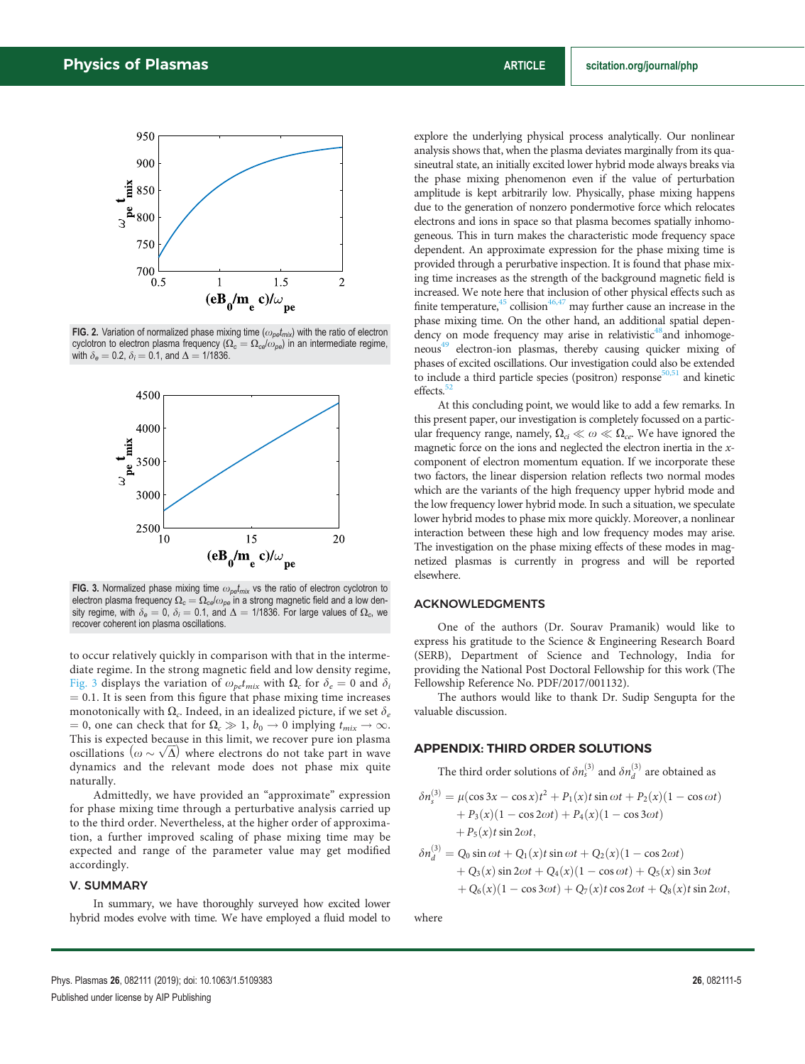

FIG. 2. Variation of normalized phase mixing time ( $\omega_{pe}t_{mix}$ ) with the ratio of electron cyclotron to electron plasma frequency ( $\Omega_c = \Omega_{ce}/\omega_{pe}$ ) in an intermediate regime, with  $\delta_e = 0.2$ ,  $\delta_i = 0.1$ , and  $\Delta = 1/1836$ .



FIG. 3. Normalized phase mixing time  $\omega_{\text{pe}}t_{\text{mix}}$  vs the ratio of electron cyclotron to electron plasma frequency  $\Omega_c = \Omega_{ce}/\omega_{pe}$  in a strong magnetic field and a low density regime, with  $\delta_e = 0$ ,  $\delta_i = 0.1$ , and  $\Delta = 1/1836$ . For large values of  $\Omega_c$ , we recover coherent ion plasma oscillations.

to occur relatively quickly in comparison with that in the intermediate regime. In the strong magnetic field and low density regime, Fig. 3 displays the variation of  $\omega_{\text{petmix}}$  with  $\Omega_c$  for  $\delta_e = 0$  and  $\delta_i$  $= 0.1$ . It is seen from this figure that phase mixing time increases monotonically with  $\Omega_c$ . Indeed, in an idealized picture, if we set  $\delta_e$  $= 0$ , one can check that for  $\Omega_c \gg 1$ ,  $b_0 \rightarrow 0$  implying  $t_{mix} \rightarrow \infty$ . This is expected because in this limit, we recover pure ion plasma oscillations  $(\omega \sim \sqrt{\Delta})$  where electrons do not take part in wave dynamics and the relevant mode does not phase mix quite naturally.

Admittedly, we have provided an "approximate" expression for phase mixing time through a perturbative analysis carried up to the third order. Nevertheless, at the higher order of approximation, a further improved scaling of phase mixing time may be expected and range of the parameter value may get modified accordingly.

#### V. SUMMARY

In summary, we have thoroughly surveyed how excited lower hybrid modes evolve with time. We have employed a fluid model to explore the underlying physical process analytically. Our nonlinear analysis shows that, when the plasma deviates marginally from its quasineutral state, an initially excited lower hybrid mode always breaks via the phase mixing phenomenon even if the value of perturbation amplitude is kept arbitrarily low. Physically, phase mixing happens due to the generation of nonzero pondermotive force which relocates electrons and ions in space so that plasma becomes spatially inhomogeneous. This in turn makes the characteristic mode frequency space dependent. An approximate expression for the phase mixing time is provided through a perurbative inspection. It is found that phase mixing time increases as the strength of the background magnetic field is increased. We note here that inclusion of other physical effects such as finite temperature,  $45$  collision  $46,47$  may further cause an increase in the phase mixing time. On the other hand, an additional spatial dependency on mode frequency may arise in relativistic<sup>48</sup>and inhomogeneous<sup>49</sup> electron-ion plasmas, thereby causing quicker mixing of phases of excited oscillations. Our investigation could also be extended to include a third particle species (positron) response<sup>50,51</sup> and kinetic effects.<sup>5</sup>

At this concluding point, we would like to add a few remarks. In this present paper, our investigation is completely focussed on a particular frequency range, namely,  $\Omega_{ci} \ll \omega \ll \Omega_{ce}$ . We have ignored the magnetic force on the ions and neglected the electron inertia in the xcomponent of electron momentum equation. If we incorporate these two factors, the linear dispersion relation reflects two normal modes which are the variants of the high frequency upper hybrid mode and the low frequency lower hybrid mode. In such a situation, we speculate lower hybrid modes to phase mix more quickly. Moreover, a nonlinear interaction between these high and low frequency modes may arise. The investigation on the phase mixing effects of these modes in magnetized plasmas is currently in progress and will be reported elsewhere.

#### ACKNOWLEDGMENTS

One of the authors (Dr. Sourav Pramanik) would like to express his gratitude to the Science & Engineering Research Board (SERB), Department of Science and Technology, India for providing the National Post Doctoral Fellowship for this work (The Fellowship Reference No. PDF/2017/001132).

The authors would like to thank Dr. Sudip Sengupta for the valuable discussion.

#### APPENDIX: THIRD ORDER SOLUTIONS

The third order solutions of  $\delta n_s^{(3)}$  and  $\delta n_d^{(3)}$  are obtained as

$$
\delta n_s^{(3)} = \mu(\cos 3x - \cos x)t^2 + P_1(x)t \sin \omega t + P_2(x)(1 - \cos \omega t) + P_3(x)(1 - \cos 2\omega t) + P_4(x)(1 - \cos 3\omega t) + P_5(x)t \sin 2\omega t,
$$

$$
\delta n_d^{(3)} = Q_0 \sin \omega t + Q_1(x) t \sin \omega t + Q_2(x) (1 - \cos 2\omega t) + Q_3(x) \sin 2\omega t + Q_4(x) (1 - \cos \omega t) + Q_5(x) \sin 3\omega t + Q_6(x) (1 - \cos 3\omega t) + Q_7(x) t \cos 2\omega t + Q_8(x) t \sin 2\omega t,
$$

where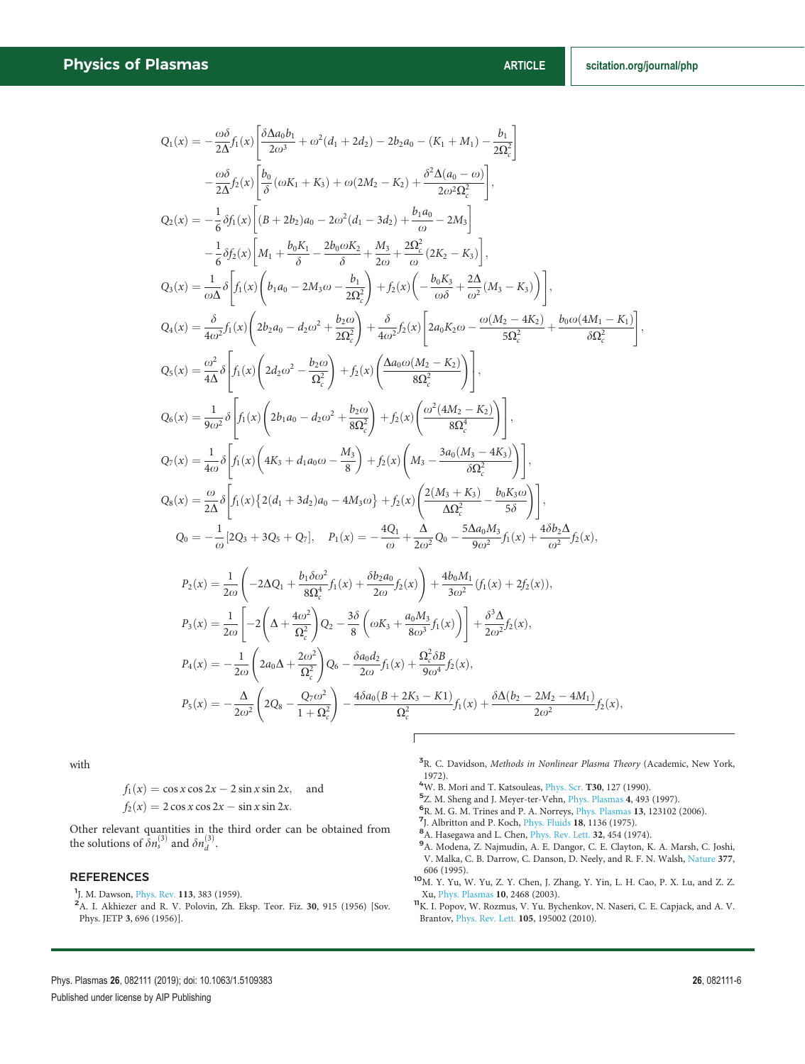$$
Q_{1}(x) = -\frac{\omega\delta}{2\Lambda}f_{1}(x)\left[\frac{\delta\Delta a_{0}b_{1}}{2\omega^{3}} + \omega^{2}(d_{1} + 2d_{2}) - 2b_{2}a_{0} - (K_{1} + M_{1}) - \frac{b_{1}}{2\Omega_{c}^{2}}\right]
$$
  

$$
-\frac{\omega\delta}{2\Lambda}f_{2}(x)\left[\frac{b_{0}}{\delta}(\omega K_{1} + K_{3}) + \omega(2M_{2} - K_{2}) + \frac{\delta^{2}\Delta(a_{0} - \omega)}{2\omega^{2}\Omega_{c}^{2}}\right],
$$
  

$$
Q_{2}(x) = -\frac{1}{6}\delta f_{1}(x)\left[(B + 2b_{2})a_{0} - 2\omega^{2}(d_{1} - 3d_{2}) + \frac{b_{1}a_{0}}{\omega} - 2M_{3}\right]
$$
  

$$
-\frac{1}{6}\delta f_{2}(x)\left[M_{1} + \frac{b_{0}K_{1}}{\delta} - \frac{2b_{0}\omega K_{2}}{\delta} + \frac{M_{3}}{2\omega} + \frac{2\Omega_{c}^{2}}{\omega}(2K_{2} - K_{3})\right],
$$
  

$$
Q_{3}(x) = \frac{1}{\omega\Delta}\delta\left[f_{1}(x)\left(b_{1}a_{0} - 2M_{3}\omega - \frac{b_{1}}{2\Omega_{c}^{2}}\right) + f_{2}(x)\left(-\frac{b_{0}K_{3}}{\omega\delta} + \frac{2\Delta}{\omega^{2}}(M_{3} - K_{3})\right)\right],
$$
  

$$
Q_{4}(x) = \frac{\delta}{a\Delta^{2}}f_{1}(x)\left(2b_{2}a_{0} - d_{2}\omega^{2} + \frac{b_{2}\omega}{2\Omega_{c}^{2}}\right) + f_{2}(x)\left(\frac{\Delta a_{0}\omega(M_{2} - K_{2})}{\omega\delta^{2}}\right),
$$
  

$$
Q_{5}(x) = \frac{\omega^{2}}{4\Delta}\delta\left[f_{1}(x)\left(2d_{2}\omega^{2} - \frac{b_{2}\omega}{\Omega_{c}^{2}}\right) + f_{2}(x)\left(\frac{\Delta a_{0}\omega(M_{2} - K_{2})}{8\Omega_{c}^{2}}\right)\right],
$$
  

$$
Q_{6}(
$$

Г

with

$$
f_1(x) = \cos x \cos 2x - 2 \sin x \sin 2x, \text{ and}
$$
  

$$
f_2(x) = 2 \cos x \cos 2x - \sin x \sin 2x.
$$

Other relevant quantities in the third order can be obtained from the solutions of  $\bar{\delta}n_s^{(3)}$  and  $\delta n_d^{(3)}$ .

#### **REFERENCES**

<sup>1</sup>J. M. Dawson, *Phys. Rev.* 113, 383 (1959).

<sup>2</sup>A. I. Akhiezer and R. V. Polovin, Zh. Eksp. Teor. Fiz. 30, 915 (1956) [Sov. Phys. JETP 3, 696 (1956)].

- <sup>3</sup>R. C. Davidson, *Methods in Nonlinear Plasma Theory* (Academic, New York,
- 1972).<br><sup>4</sup>W. B. Mori and T. Katsouleas, <u>Phys. Scr</u>. **T30,** 127 (1990).
- 5 Z. M. Sheng and J. Meyer-ter-Vehn, Phys. Plasmas 4, 493 (1997).
- 6 R. M. G. M. Trines and P. A. Norreys, Phys. Plasmas 13, 123102 (2006).
- 7J. Albritton and P. Koch, Phys. Fluids 18, 1136 (1975).
- <sup>8</sup>A. Hasegawa and L. Chen, Phys. Rev. Lett. 32, 454 (1974).
- <sup>9</sup>A. Modena, Z. Najmudin, A. E. Dangor, C. E. Clayton, K. A. Marsh, C. Joshi, V. Malka, C. B. Darrow, C. Danson, D. Neely, and R. F. N. Walsh, Nature 377, 606 (1995).
- <sup>10</sup>M. Y. Yu, W. Yu, Z. Y. Chen, J. Zhang, Y. Yin, L. H. Cao, P. X. Lu, and Z. Z. Xu, Phys. Plasmas 10, 2468 (2003).
- <sup>11</sup>K. I. Popov, W. Rozmus, V. Yu. Bychenkov, N. Naseri, C. E. Capjack, and A. V. Brantov, Phys. Rev. Lett. 105, 195002 (2010).